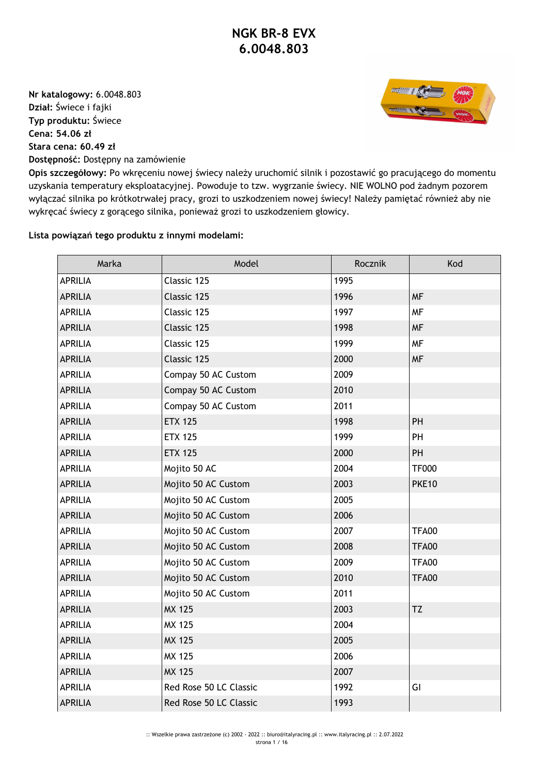**Nr katalogowy:** 6.0048.803 **Dział:** Świece i fajki **Typ produktu:** Świece **Cena: 54.06 zł Stara cena: 60.49 zł Dostępność:** Dostępny na zamówienie



**Opis szczegółowy:** Po wkręceniu nowej świecy należy uruchomić silnik i pozostawić go pracującego do momentu uzyskania temperatury eksploatacyjnej. Powoduje to tzw. wygrzanie świecy. NIE WOLNO pod żadnym pozorem wyłączać silnika po krótkotrwałej pracy, grozi to uszkodzeniem nowej świecy! Należy pamiętać również aby nie wykręcać świecy z gorącego silnika, ponieważ grozi to uszkodzeniem głowicy.

## **Lista powiązań tego produktu z innymi modelami:**

| Marka          | Model                  | Rocznik | Kod          |
|----------------|------------------------|---------|--------------|
| <b>APRILIA</b> | Classic 125            | 1995    |              |
| <b>APRILIA</b> | Classic 125            | 1996    | <b>MF</b>    |
| <b>APRILIA</b> | Classic 125            | 1997    | <b>MF</b>    |
| <b>APRILIA</b> | Classic 125            | 1998    | <b>MF</b>    |
| <b>APRILIA</b> | Classic 125            | 1999    | <b>MF</b>    |
| <b>APRILIA</b> | Classic 125            | 2000    | <b>MF</b>    |
| <b>APRILIA</b> | Compay 50 AC Custom    | 2009    |              |
| <b>APRILIA</b> | Compay 50 AC Custom    | 2010    |              |
| <b>APRILIA</b> | Compay 50 AC Custom    | 2011    |              |
| <b>APRILIA</b> | <b>ETX 125</b>         | 1998    | PH           |
| <b>APRILIA</b> | <b>ETX 125</b>         | 1999    | PH           |
| <b>APRILIA</b> | <b>ETX 125</b>         | 2000    | PH           |
| <b>APRILIA</b> | Mojito 50 AC           | 2004    | <b>TF000</b> |
| <b>APRILIA</b> | Mojito 50 AC Custom    | 2003    | <b>PKE10</b> |
| <b>APRILIA</b> | Mojito 50 AC Custom    | 2005    |              |
| <b>APRILIA</b> | Mojito 50 AC Custom    | 2006    |              |
| <b>APRILIA</b> | Mojito 50 AC Custom    | 2007    | <b>TFA00</b> |
| <b>APRILIA</b> | Mojito 50 AC Custom    | 2008    | <b>TFA00</b> |
| <b>APRILIA</b> | Mojito 50 AC Custom    | 2009    | <b>TFA00</b> |
| <b>APRILIA</b> | Mojito 50 AC Custom    | 2010    | <b>TFA00</b> |
| <b>APRILIA</b> | Mojito 50 AC Custom    | 2011    |              |
| <b>APRILIA</b> | <b>MX 125</b>          | 2003    | TZ           |
| <b>APRILIA</b> | MX 125                 | 2004    |              |
| <b>APRILIA</b> | <b>MX 125</b>          | 2005    |              |
| <b>APRILIA</b> | MX 125                 | 2006    |              |
| <b>APRILIA</b> | <b>MX 125</b>          | 2007    |              |
| <b>APRILIA</b> | Red Rose 50 LC Classic | 1992    | GI           |
| <b>APRILIA</b> | Red Rose 50 LC Classic | 1993    |              |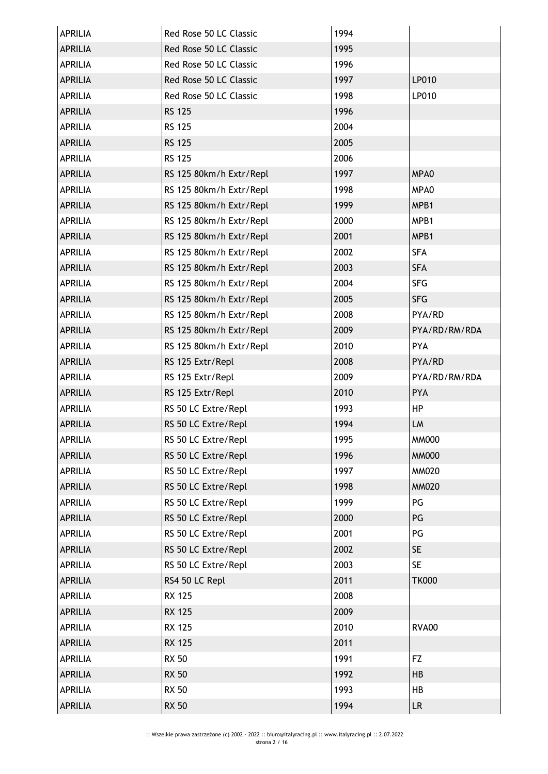| <b>APRILIA</b> | Red Rose 50 LC Classic  | 1994 |               |
|----------------|-------------------------|------|---------------|
| <b>APRILIA</b> | Red Rose 50 LC Classic  | 1995 |               |
| <b>APRILIA</b> | Red Rose 50 LC Classic  | 1996 |               |
| <b>APRILIA</b> | Red Rose 50 LC Classic  | 1997 | LP010         |
| <b>APRILIA</b> | Red Rose 50 LC Classic  | 1998 | LP010         |
| <b>APRILIA</b> | <b>RS 125</b>           | 1996 |               |
| <b>APRILIA</b> | <b>RS 125</b>           | 2004 |               |
| <b>APRILIA</b> | <b>RS 125</b>           | 2005 |               |
| <b>APRILIA</b> | <b>RS 125</b>           | 2006 |               |
| <b>APRILIA</b> | RS 125 80km/h Extr/Repl | 1997 | MPA0          |
| <b>APRILIA</b> | RS 125 80km/h Extr/Repl | 1998 | MPA0          |
| <b>APRILIA</b> | RS 125 80km/h Extr/Repl | 1999 | MPB1          |
| <b>APRILIA</b> | RS 125 80km/h Extr/Repl | 2000 | MPB1          |
| <b>APRILIA</b> | RS 125 80km/h Extr/Repl | 2001 | MPB1          |
| <b>APRILIA</b> | RS 125 80km/h Extr/Repl | 2002 | <b>SFA</b>    |
| <b>APRILIA</b> | RS 125 80km/h Extr/Repl | 2003 | <b>SFA</b>    |
| <b>APRILIA</b> | RS 125 80km/h Extr/Repl | 2004 | <b>SFG</b>    |
| <b>APRILIA</b> | RS 125 80km/h Extr/Repl | 2005 | <b>SFG</b>    |
| <b>APRILIA</b> | RS 125 80km/h Extr/Repl | 2008 | PYA/RD        |
| <b>APRILIA</b> | RS 125 80km/h Extr/Repl | 2009 | PYA/RD/RM/RDA |
| <b>APRILIA</b> | RS 125 80km/h Extr/Repl | 2010 | PYA           |
| <b>APRILIA</b> | RS 125 Extr/Repl        | 2008 | PYA/RD        |
| <b>APRILIA</b> | RS 125 Extr/Repl        | 2009 | PYA/RD/RM/RDA |
| <b>APRILIA</b> | RS 125 Extr/Repl        | 2010 | PYA           |
| <b>APRILIA</b> | RS 50 LC Extre/Repl     | 1993 | HP            |
| <b>APRILIA</b> | RS 50 LC Extre/Repl     | 1994 | LM            |
| <b>APRILIA</b> | RS 50 LC Extre/Repl     | 1995 | <b>MM000</b>  |
| <b>APRILIA</b> | RS 50 LC Extre/Repl     | 1996 | <b>MM000</b>  |
| <b>APRILIA</b> | RS 50 LC Extre/Repl     | 1997 | <b>MM020</b>  |
| <b>APRILIA</b> | RS 50 LC Extre/Repl     | 1998 | <b>MM020</b>  |
| <b>APRILIA</b> | RS 50 LC Extre/Repl     | 1999 | PG            |
| <b>APRILIA</b> | RS 50 LC Extre/Repl     | 2000 | PG            |
| <b>APRILIA</b> | RS 50 LC Extre/Repl     | 2001 | PG            |
| <b>APRILIA</b> | RS 50 LC Extre/Repl     | 2002 | <b>SE</b>     |
| <b>APRILIA</b> | RS 50 LC Extre/Repl     | 2003 | <b>SE</b>     |
| <b>APRILIA</b> | RS4 50 LC Repl          | 2011 | <b>TK000</b>  |
| <b>APRILIA</b> | <b>RX 125</b>           | 2008 |               |
| <b>APRILIA</b> | <b>RX 125</b>           | 2009 |               |
| <b>APRILIA</b> | <b>RX 125</b>           | 2010 | <b>RVA00</b>  |
| <b>APRILIA</b> | <b>RX 125</b>           | 2011 |               |
| <b>APRILIA</b> | <b>RX 50</b>            | 1991 | <b>FZ</b>     |
| <b>APRILIA</b> | <b>RX 50</b>            | 1992 | HB            |
| <b>APRILIA</b> | <b>RX 50</b>            | 1993 | HB            |
| <b>APRILIA</b> | <b>RX 50</b>            | 1994 | LR.           |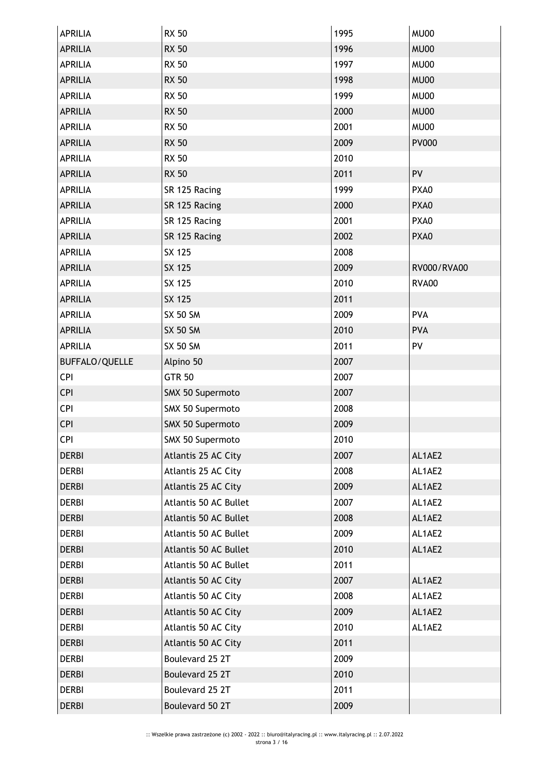| <b>APRILIA</b>        | <b>RX 50</b>          | 1995 | MU00         |
|-----------------------|-----------------------|------|--------------|
| <b>APRILIA</b>        | <b>RX 50</b>          | 1996 | <b>MU00</b>  |
| <b>APRILIA</b>        | <b>RX 50</b>          | 1997 | MU00         |
| <b>APRILIA</b>        | <b>RX 50</b>          | 1998 | <b>MU00</b>  |
| <b>APRILIA</b>        | <b>RX 50</b>          | 1999 | MU00         |
| <b>APRILIA</b>        | <b>RX 50</b>          | 2000 | MU00         |
| <b>APRILIA</b>        | <b>RX 50</b>          | 2001 | MU00         |
| <b>APRILIA</b>        | <b>RX 50</b>          | 2009 | <b>PV000</b> |
| <b>APRILIA</b>        | <b>RX 50</b>          | 2010 |              |
| <b>APRILIA</b>        | <b>RX 50</b>          | 2011 | PV           |
| <b>APRILIA</b>        | SR 125 Racing         | 1999 | PXA0         |
| <b>APRILIA</b>        | SR 125 Racing         | 2000 | PXA0         |
| <b>APRILIA</b>        | SR 125 Racing         | 2001 | PXA0         |
| <b>APRILIA</b>        | SR 125 Racing         | 2002 | PXA0         |
| <b>APRILIA</b>        | SX 125                | 2008 |              |
| <b>APRILIA</b>        | <b>SX 125</b>         | 2009 | RV000/RVA00  |
| <b>APRILIA</b>        | SX 125                | 2010 | <b>RVA00</b> |
| <b>APRILIA</b>        | SX 125                | 2011 |              |
| <b>APRILIA</b>        | <b>SX 50 SM</b>       | 2009 | <b>PVA</b>   |
| <b>APRILIA</b>        | <b>SX 50 SM</b>       | 2010 | <b>PVA</b>   |
| <b>APRILIA</b>        | <b>SX 50 SM</b>       | 2011 | PV           |
| <b>BUFFALO/QUELLE</b> | Alpino 50             | 2007 |              |
| <b>CPI</b>            | <b>GTR 50</b>         | 2007 |              |
| <b>CPI</b>            | SMX 50 Supermoto      | 2007 |              |
| <b>CPI</b>            | SMX 50 Supermoto      | 2008 |              |
| <b>CPI</b>            | SMX 50 Supermoto      | 2009 |              |
| <b>CPI</b>            | SMX 50 Supermoto      | 2010 |              |
| <b>DERBI</b>          | Atlantis 25 AC City   | 2007 | AL1AE2       |
| <b>DERBI</b>          | Atlantis 25 AC City   | 2008 | AL1AE2       |
| <b>DERBI</b>          | Atlantis 25 AC City   | 2009 | AL1AE2       |
| <b>DERBI</b>          | Atlantis 50 AC Bullet | 2007 | AL1AE2       |
| <b>DERBI</b>          | Atlantis 50 AC Bullet | 2008 | AL1AE2       |
| <b>DERBI</b>          | Atlantis 50 AC Bullet | 2009 | AL1AE2       |
| <b>DERBI</b>          | Atlantis 50 AC Bullet | 2010 | AL1AE2       |
| <b>DERBI</b>          | Atlantis 50 AC Bullet | 2011 |              |
| <b>DERBI</b>          | Atlantis 50 AC City   | 2007 | AL1AE2       |
| <b>DERBI</b>          | Atlantis 50 AC City   | 2008 | AL1AE2       |
| <b>DERBI</b>          | Atlantis 50 AC City   | 2009 | AL1AE2       |
| <b>DERBI</b>          | Atlantis 50 AC City   | 2010 | AL1AE2       |
| <b>DERBI</b>          | Atlantis 50 AC City   | 2011 |              |
| <b>DERBI</b>          | Boulevard 25 2T       | 2009 |              |
| <b>DERBI</b>          | Boulevard 25 2T       | 2010 |              |
| <b>DERBI</b>          | Boulevard 25 2T       | 2011 |              |
| <b>DERBI</b>          | Boulevard 50 2T       | 2009 |              |
|                       |                       |      |              |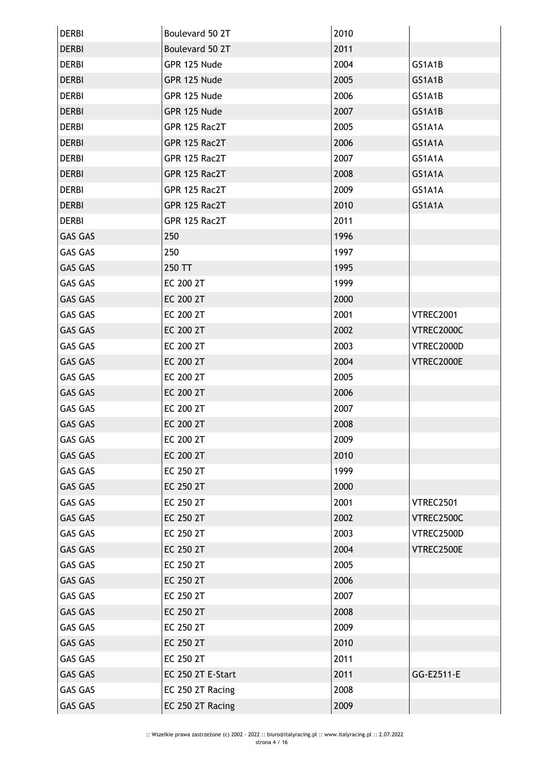| <b>DERBI</b>   | Boulevard 50 2T   | 2010 |            |
|----------------|-------------------|------|------------|
| <b>DERBI</b>   | Boulevard 50 2T   | 2011 |            |
| <b>DERBI</b>   | GPR 125 Nude      | 2004 | GS1A1B     |
| <b>DERBI</b>   | GPR 125 Nude      | 2005 | GS1A1B     |
| <b>DERBI</b>   | GPR 125 Nude      | 2006 | GS1A1B     |
| <b>DERBI</b>   | GPR 125 Nude      | 2007 | GS1A1B     |
| <b>DERBI</b>   | GPR 125 Rac2T     | 2005 | GS1A1A     |
| <b>DERBI</b>   | GPR 125 Rac2T     | 2006 | GS1A1A     |
| <b>DERBI</b>   | GPR 125 Rac2T     | 2007 | GS1A1A     |
| <b>DERBI</b>   | GPR 125 Rac2T     | 2008 | GS1A1A     |
| <b>DERBI</b>   | GPR 125 Rac2T     | 2009 | GS1A1A     |
| <b>DERBI</b>   | GPR 125 Rac2T     | 2010 | GS1A1A     |
| <b>DERBI</b>   | GPR 125 Rac2T     | 2011 |            |
| <b>GAS GAS</b> | 250               | 1996 |            |
| <b>GAS GAS</b> | 250               | 1997 |            |
| <b>GAS GAS</b> | 250 TT            | 1995 |            |
| <b>GAS GAS</b> | EC 200 2T         | 1999 |            |
| <b>GAS GAS</b> | EC 200 2T         | 2000 |            |
| <b>GAS GAS</b> | EC 200 2T         | 2001 | VTREC2001  |
| <b>GAS GAS</b> | EC 200 2T         | 2002 | VTREC2000C |
| <b>GAS GAS</b> | EC 200 2T         | 2003 | VTREC2000D |
| <b>GAS GAS</b> | EC 200 2T         | 2004 | VTREC2000E |
| <b>GAS GAS</b> | EC 200 2T         | 2005 |            |
| <b>GAS GAS</b> | EC 200 2T         | 2006 |            |
| GAS GAS        | EC 200 2T         | 2007 |            |
| <b>GAS GAS</b> | EC 200 2T         | 2008 |            |
| <b>GAS GAS</b> | EC 200 2T         | 2009 |            |
| <b>GAS GAS</b> | EC 200 2T         | 2010 |            |
| <b>GAS GAS</b> | EC 250 2T         | 1999 |            |
| <b>GAS GAS</b> | EC 250 2T         | 2000 |            |
| <b>GAS GAS</b> | EC 250 2T         | 2001 | VTREC2501  |
| <b>GAS GAS</b> | EC 250 2T         | 2002 | VTREC2500C |
| <b>GAS GAS</b> | EC 250 2T         | 2003 | VTREC2500D |
| <b>GAS GAS</b> | EC 250 2T         | 2004 | VTREC2500E |
| <b>GAS GAS</b> | EC 250 2T         | 2005 |            |
| <b>GAS GAS</b> | EC 250 2T         | 2006 |            |
| <b>GAS GAS</b> | EC 250 2T         | 2007 |            |
| <b>GAS GAS</b> | EC 250 2T         | 2008 |            |
| <b>GAS GAS</b> | EC 250 2T         | 2009 |            |
| <b>GAS GAS</b> | EC 250 2T         | 2010 |            |
| <b>GAS GAS</b> | EC 250 2T         | 2011 |            |
| <b>GAS GAS</b> | EC 250 2T E-Start | 2011 | GG-E2511-E |
| <b>GAS GAS</b> | EC 250 2T Racing  | 2008 |            |
| GAS GAS        | EC 250 2T Racing  | 2009 |            |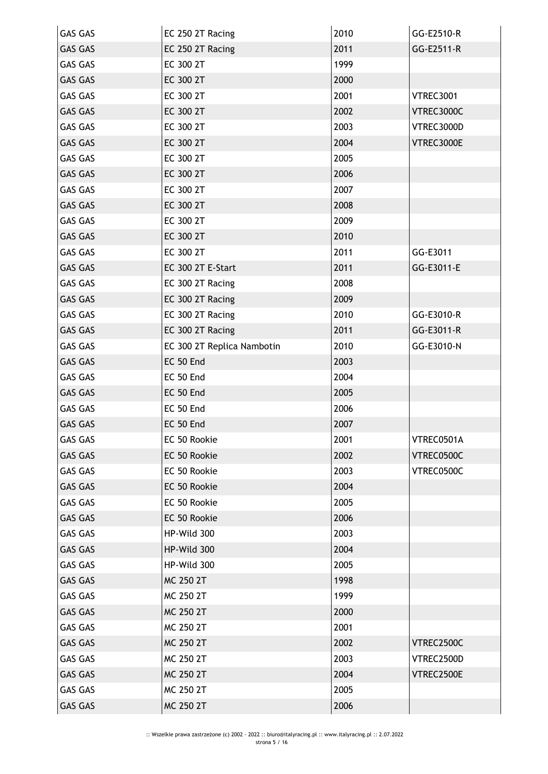| <b>GAS GAS</b> | EC 250 2T Racing           | 2010 | GG-E2510-R       |
|----------------|----------------------------|------|------------------|
| <b>GAS GAS</b> | EC 250 2T Racing           | 2011 | GG-E2511-R       |
| <b>GAS GAS</b> | EC 300 2T                  | 1999 |                  |
| <b>GAS GAS</b> | EC 300 2T                  | 2000 |                  |
| <b>GAS GAS</b> | EC 300 2T                  | 2001 | <b>VTREC3001</b> |
| <b>GAS GAS</b> | EC 300 2T                  | 2002 | VTREC3000C       |
| <b>GAS GAS</b> | EC 300 2T                  | 2003 | VTREC3000D       |
| <b>GAS GAS</b> | EC 300 2T                  | 2004 | VTREC3000E       |
| <b>GAS GAS</b> | EC 300 2T                  | 2005 |                  |
| <b>GAS GAS</b> | EC 300 2T                  | 2006 |                  |
| <b>GAS GAS</b> | EC 300 2T                  | 2007 |                  |
| <b>GAS GAS</b> | EC 300 2T                  | 2008 |                  |
| <b>GAS GAS</b> | EC 300 2T                  | 2009 |                  |
| <b>GAS GAS</b> | EC 300 2T                  | 2010 |                  |
| <b>GAS GAS</b> | EC 300 2T                  | 2011 | GG-E3011         |
| <b>GAS GAS</b> | EC 300 2T E-Start          | 2011 | GG-E3011-E       |
| <b>GAS GAS</b> | EC 300 2T Racing           | 2008 |                  |
| <b>GAS GAS</b> | EC 300 2T Racing           | 2009 |                  |
| <b>GAS GAS</b> | EC 300 2T Racing           | 2010 | GG-E3010-R       |
| <b>GAS GAS</b> | EC 300 2T Racing           | 2011 | GG-E3011-R       |
| GAS GAS        | EC 300 2T Replica Nambotin | 2010 | GG-E3010-N       |
| <b>GAS GAS</b> | EC 50 End                  | 2003 |                  |
| <b>GAS GAS</b> | EC 50 End                  | 2004 |                  |
| <b>GAS GAS</b> | EC 50 End                  | 2005 |                  |
| GAS GAS        | EC 50 End                  | 2006 |                  |
| <b>GAS GAS</b> | EC 50 End                  | 2007 |                  |
| <b>GAS GAS</b> | EC 50 Rookie               | 2001 | VTREC0501A       |
| <b>GAS GAS</b> | EC 50 Rookie               | 2002 | VTREC0500C       |
| <b>GAS GAS</b> | EC 50 Rookie               | 2003 | VTREC0500C       |
| <b>GAS GAS</b> | EC 50 Rookie               | 2004 |                  |
| <b>GAS GAS</b> | EC 50 Rookie               | 2005 |                  |
| <b>GAS GAS</b> | EC 50 Rookie               | 2006 |                  |
| <b>GAS GAS</b> | HP-Wild 300                | 2003 |                  |
| <b>GAS GAS</b> | HP-Wild 300                | 2004 |                  |
| <b>GAS GAS</b> | HP-Wild 300                | 2005 |                  |
| <b>GAS GAS</b> | MC 250 2T                  | 1998 |                  |
| <b>GAS GAS</b> | MC 250 2T                  | 1999 |                  |
| <b>GAS GAS</b> | MC 250 2T                  | 2000 |                  |
| <b>GAS GAS</b> | MC 250 2T                  | 2001 |                  |
| <b>GAS GAS</b> | MC 250 2T                  | 2002 | VTREC2500C       |
| <b>GAS GAS</b> | MC 250 2T                  | 2003 | VTREC2500D       |
| <b>GAS GAS</b> | MC 250 2T                  | 2004 | VTREC2500E       |
| <b>GAS GAS</b> | MC 250 2T                  | 2005 |                  |
| <b>GAS GAS</b> | MC 250 2T                  | 2006 |                  |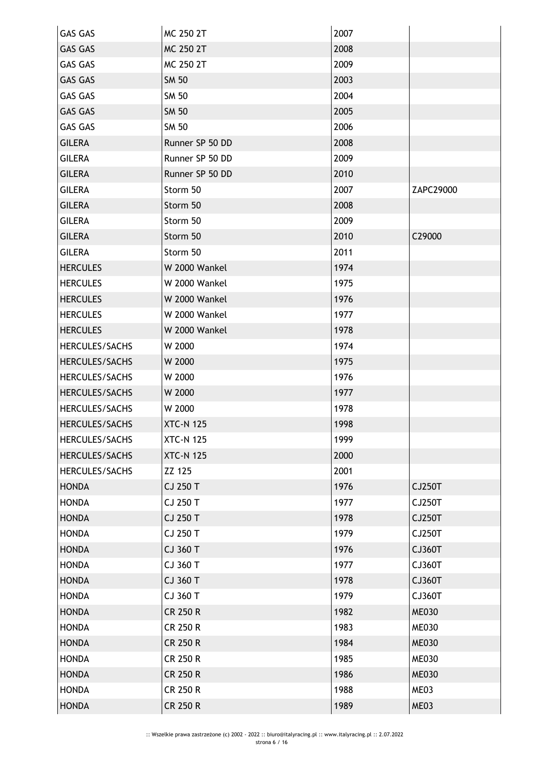| <b>GAS GAS</b>  | MC 250 2T        | 2007 |              |
|-----------------|------------------|------|--------------|
| <b>GAS GAS</b>  | <b>MC 250 2T</b> | 2008 |              |
| <b>GAS GAS</b>  | MC 250 2T        | 2009 |              |
| <b>GAS GAS</b>  | <b>SM 50</b>     | 2003 |              |
| <b>GAS GAS</b>  | SM 50            | 2004 |              |
| <b>GAS GAS</b>  | <b>SM 50</b>     | 2005 |              |
| <b>GAS GAS</b>  | <b>SM 50</b>     | 2006 |              |
| <b>GILERA</b>   | Runner SP 50 DD  | 2008 |              |
| <b>GILERA</b>   | Runner SP 50 DD  | 2009 |              |
| <b>GILERA</b>   | Runner SP 50 DD  | 2010 |              |
| <b>GILERA</b>   | Storm 50         | 2007 | ZAPC29000    |
| <b>GILERA</b>   | Storm 50         | 2008 |              |
| <b>GILERA</b>   | Storm 50         | 2009 |              |
| <b>GILERA</b>   | Storm 50         | 2010 | C29000       |
| <b>GILERA</b>   | Storm 50         | 2011 |              |
| <b>HERCULES</b> | W 2000 Wankel    | 1974 |              |
| <b>HERCULES</b> | W 2000 Wankel    | 1975 |              |
| <b>HERCULES</b> | W 2000 Wankel    | 1976 |              |
| <b>HERCULES</b> | W 2000 Wankel    | 1977 |              |
| <b>HERCULES</b> | W 2000 Wankel    | 1978 |              |
| HERCULES/SACHS  | W 2000           | 1974 |              |
| HERCULES/SACHS  | W 2000           | 1975 |              |
| HERCULES/SACHS  | W 2000           | 1976 |              |
| HERCULES/SACHS  | W 2000           | 1977 |              |
| HERCULES/SACHS  | W 2000           | 1978 |              |
| HERCULES/SACHS  | <b>XTC-N 125</b> | 1998 |              |
| HERCULES/SACHS  | <b>XTC-N 125</b> | 1999 |              |
| HERCULES/SACHS  | <b>XTC-N 125</b> | 2000 |              |
| HERCULES/SACHS  | ZZ 125           | 2001 |              |
| <b>HONDA</b>    | CJ 250 T         | 1976 | CJ250T       |
| <b>HONDA</b>    | CJ 250 T         | 1977 | CJ250T       |
| <b>HONDA</b>    | CJ 250 T         | 1978 | CJ250T       |
| <b>HONDA</b>    | CJ 250 T         | 1979 | CJ250T       |
| <b>HONDA</b>    | CJ 360 T         | 1976 | CJ360T       |
| <b>HONDA</b>    | CJ 360 T         | 1977 | CJ360T       |
| <b>HONDA</b>    | CJ 360 T         | 1978 | CJ360T       |
| <b>HONDA</b>    | CJ 360 T         | 1979 | CJ360T       |
| <b>HONDA</b>    | <b>CR 250 R</b>  | 1982 | <b>ME030</b> |
| <b>HONDA</b>    | <b>CR 250 R</b>  | 1983 | <b>ME030</b> |
| <b>HONDA</b>    | <b>CR 250 R</b>  | 1984 | <b>ME030</b> |
| <b>HONDA</b>    | <b>CR 250 R</b>  | 1985 | <b>ME030</b> |
| <b>HONDA</b>    | <b>CR 250 R</b>  | 1986 | <b>ME030</b> |
| <b>HONDA</b>    | <b>CR 250 R</b>  | 1988 | ME03         |
| <b>HONDA</b>    | <b>CR 250 R</b>  | 1989 | ME03         |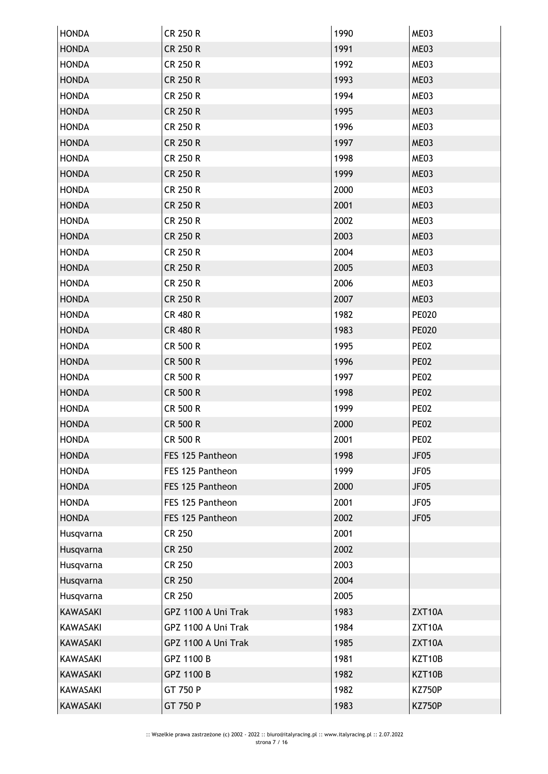| <b>HONDA</b>    | CR 250 R            | 1990 | ME03             |
|-----------------|---------------------|------|------------------|
| <b>HONDA</b>    | <b>CR 250 R</b>     | 1991 | ME03             |
| <b>HONDA</b>    | CR 250 R            | 1992 | ME03             |
| <b>HONDA</b>    | <b>CR 250 R</b>     | 1993 | ME03             |
| <b>HONDA</b>    | CR 250 R            | 1994 | ME03             |
| <b>HONDA</b>    | <b>CR 250 R</b>     | 1995 | ME03             |
| <b>HONDA</b>    | <b>CR 250 R</b>     | 1996 | ME03             |
| <b>HONDA</b>    | <b>CR 250 R</b>     | 1997 | ME03             |
| <b>HONDA</b>    | CR 250 R            | 1998 | ME03             |
| <b>HONDA</b>    | <b>CR 250 R</b>     | 1999 | ME03             |
| <b>HONDA</b>    | CR 250 R            | 2000 | ME03             |
| <b>HONDA</b>    | CR 250 R            | 2001 | ME03             |
| <b>HONDA</b>    | <b>CR 250 R</b>     | 2002 | ME03             |
| <b>HONDA</b>    | <b>CR 250 R</b>     | 2003 | ME03             |
| <b>HONDA</b>    | <b>CR 250 R</b>     | 2004 | ME03             |
| <b>HONDA</b>    | <b>CR 250 R</b>     | 2005 | ME03             |
| <b>HONDA</b>    | CR 250 R            | 2006 | ME03             |
| <b>HONDA</b>    | <b>CR 250 R</b>     | 2007 | ME03             |
| <b>HONDA</b>    | <b>CR 480 R</b>     | 1982 | <b>PE020</b>     |
| <b>HONDA</b>    | <b>CR 480 R</b>     | 1983 | <b>PE020</b>     |
| <b>HONDA</b>    | CR 500 R            | 1995 | <b>PE02</b>      |
| <b>HONDA</b>    | <b>CR 500 R</b>     | 1996 | <b>PE02</b>      |
| <b>HONDA</b>    | CR 500 R            | 1997 | <b>PE02</b>      |
| <b>HONDA</b>    | CR 500 R            | 1998 | <b>PE02</b>      |
| <b>HONDA</b>    | CR 500 R            | 1999 | <b>PE02</b>      |
| <b>HONDA</b>    | <b>CR 500 R</b>     | 2000 | <b>PE02</b>      |
| <b>HONDA</b>    | CR 500 R            | 2001 | <b>PE02</b>      |
| <b>HONDA</b>    | FES 125 Pantheon    | 1998 | JF <sub>05</sub> |
| <b>HONDA</b>    | FES 125 Pantheon    | 1999 | JF05             |
| <b>HONDA</b>    | FES 125 Pantheon    | 2000 | JF05             |
| <b>HONDA</b>    | FES 125 Pantheon    | 2001 | JF05             |
| <b>HONDA</b>    | FES 125 Pantheon    | 2002 | <b>JF05</b>      |
| Husqvarna       | <b>CR 250</b>       | 2001 |                  |
| Husqvarna       | <b>CR 250</b>       | 2002 |                  |
| Husqvarna       | <b>CR 250</b>       | 2003 |                  |
| Husqvarna       | <b>CR 250</b>       | 2004 |                  |
| Husqvarna       | <b>CR 250</b>       | 2005 |                  |
| <b>KAWASAKI</b> | GPZ 1100 A Uni Trak | 1983 | ZXT10A           |
| KAWASAKI        | GPZ 1100 A Uni Trak | 1984 | ZXT10A           |
| <b>KAWASAKI</b> | GPZ 1100 A Uni Trak | 1985 | ZXT10A           |
| <b>KAWASAKI</b> | GPZ 1100 B          | 1981 | KZT10B           |
| KAWASAKI        | GPZ 1100 B          | 1982 | KZT10B           |
| <b>KAWASAKI</b> | GT 750 P            | 1982 | <b>KZ750P</b>    |
| KAWASAKI        | GT 750 P            | 1983 | <b>KZ750P</b>    |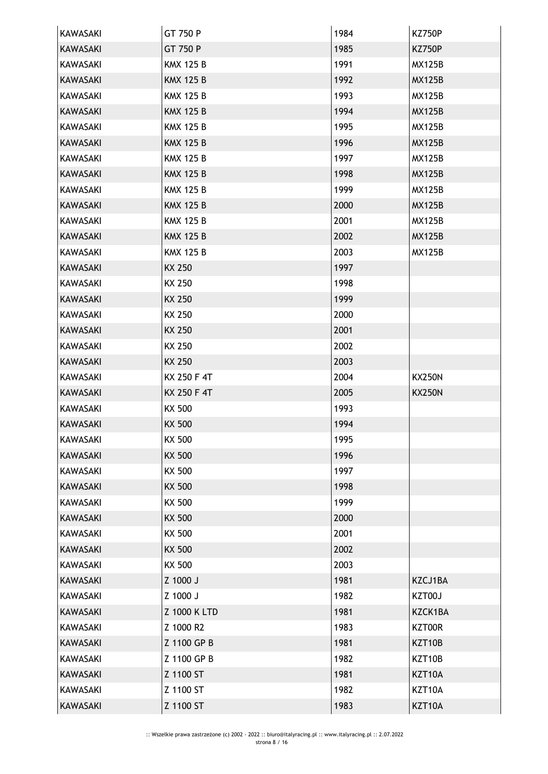| KAWASAKI        | GT 750 P         | 1984 | <b>KZ750P</b> |
|-----------------|------------------|------|---------------|
| <b>KAWASAKI</b> | GT 750 P         | 1985 | <b>KZ750P</b> |
| <b>KAWASAKI</b> | <b>KMX 125 B</b> | 1991 | <b>MX125B</b> |
| <b>KAWASAKI</b> | <b>KMX 125 B</b> | 1992 | <b>MX125B</b> |
| <b>KAWASAKI</b> | <b>KMX 125 B</b> | 1993 | <b>MX125B</b> |
| <b>KAWASAKI</b> | <b>KMX 125 B</b> | 1994 | <b>MX125B</b> |
| KAWASAKI        | <b>KMX 125 B</b> | 1995 | <b>MX125B</b> |
| <b>KAWASAKI</b> | <b>KMX 125 B</b> | 1996 | <b>MX125B</b> |
| <b>KAWASAKI</b> | <b>KMX 125 B</b> | 1997 | <b>MX125B</b> |
| <b>KAWASAKI</b> | <b>KMX 125 B</b> | 1998 | <b>MX125B</b> |
| <b>KAWASAKI</b> | <b>KMX 125 B</b> | 1999 | <b>MX125B</b> |
| <b>KAWASAKI</b> | <b>KMX 125 B</b> | 2000 | <b>MX125B</b> |
| <b>KAWASAKI</b> | <b>KMX 125 B</b> | 2001 | <b>MX125B</b> |
| <b>KAWASAKI</b> | <b>KMX 125 B</b> | 2002 | <b>MX125B</b> |
| <b>KAWASAKI</b> | <b>KMX 125 B</b> | 2003 | <b>MX125B</b> |
| <b>KAWASAKI</b> | KX 250           | 1997 |               |
| KAWASAKI        | KX 250           | 1998 |               |
| <b>KAWASAKI</b> | KX 250           | 1999 |               |
| <b>KAWASAKI</b> | KX 250           | 2000 |               |
| <b>KAWASAKI</b> | <b>KX 250</b>    | 2001 |               |
| KAWASAKI        | KX 250           | 2002 |               |
| <b>KAWASAKI</b> | <b>KX 250</b>    | 2003 |               |
| <b>KAWASAKI</b> | KX 250 F 4T      | 2004 | <b>KX250N</b> |
| <b>KAWASAKI</b> | KX 250 F 4T      | 2005 | <b>KX250N</b> |
| KAWASAKI        | KX 500           | 1993 |               |
| <b>KAWASAKI</b> | KX 500           | 1994 |               |
| KAWASAKI        | KX 500           | 1995 |               |
| <b>KAWASAKI</b> | KX 500           | 1996 |               |
| KAWASAKI        | KX 500           | 1997 |               |
| <b>KAWASAKI</b> | KX 500           | 1998 |               |
| KAWASAKI        | KX 500           | 1999 |               |
| <b>KAWASAKI</b> | <b>KX 500</b>    | 2000 |               |
| <b>KAWASAKI</b> | KX 500           | 2001 |               |
| <b>KAWASAKI</b> | <b>KX 500</b>    | 2002 |               |
| KAWASAKI        | KX 500           | 2003 |               |
| <b>KAWASAKI</b> | Z 1000 J         | 1981 | KZCJ1BA       |
| <b>KAWASAKI</b> | Z 1000 J         | 1982 | KZT00J        |
| <b>KAWASAKI</b> | Z 1000 K LTD     | 1981 | KZCK1BA       |
| <b>KAWASAKI</b> | Z 1000 R2        | 1983 | KZT00R        |
| <b>KAWASAKI</b> | Z 1100 GP B      | 1981 | KZT10B        |
| <b>KAWASAKI</b> | Z 1100 GP B      | 1982 | KZT10B        |
| <b>KAWASAKI</b> | Z 1100 ST        | 1981 | KZT10A        |
| KAWASAKI        | Z 1100 ST        | 1982 | KZT10A        |
| <b>KAWASAKI</b> | Z 1100 ST        | 1983 | KZT10A        |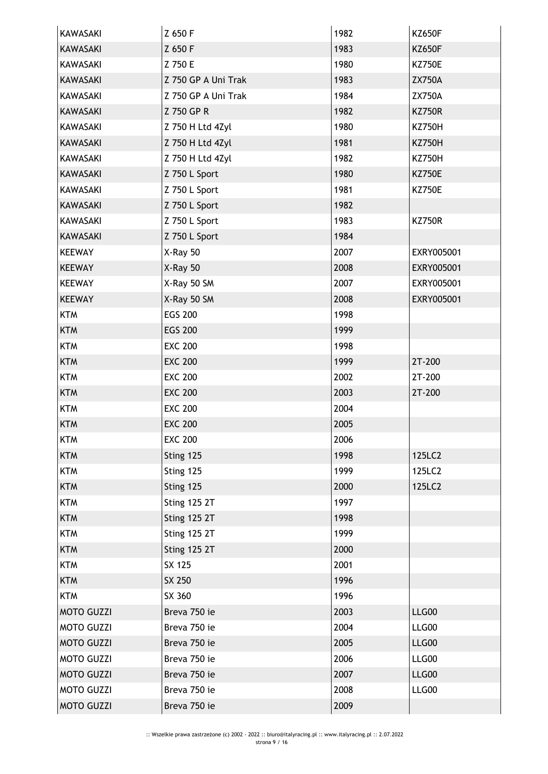| KAWASAKI          | Z 650 F             | 1982 | <b>KZ650F</b> |
|-------------------|---------------------|------|---------------|
| <b>KAWASAKI</b>   | Z 650 F             | 1983 | <b>KZ650F</b> |
| <b>KAWASAKI</b>   | Z 750 E             | 1980 | <b>KZ750E</b> |
| <b>KAWASAKI</b>   | Z 750 GP A Uni Trak | 1983 | <b>ZX750A</b> |
| KAWASAKI          | Z 750 GP A Uni Trak | 1984 | <b>ZX750A</b> |
| <b>KAWASAKI</b>   | Z 750 GP R          | 1982 | <b>KZ750R</b> |
| KAWASAKI          | Z 750 H Ltd 4Zyl    | 1980 | <b>KZ750H</b> |
| <b>KAWASAKI</b>   | Z 750 H Ltd 4Zyl    | 1981 | <b>KZ750H</b> |
| <b>KAWASAKI</b>   | Z 750 H Ltd 4Zyl    | 1982 | <b>KZ750H</b> |
| <b>KAWASAKI</b>   | Z 750 L Sport       | 1980 | <b>KZ750E</b> |
| KAWASAKI          | Z 750 L Sport       | 1981 | <b>KZ750E</b> |
| KAWASAKI          | Z 750 L Sport       | 1982 |               |
| KAWASAKI          | Z 750 L Sport       | 1983 | <b>KZ750R</b> |
| <b>KAWASAKI</b>   | Z 750 L Sport       | 1984 |               |
| <b>KEEWAY</b>     | X-Ray 50            | 2007 | EXRY005001    |
| <b>KEEWAY</b>     | $X-Ray$ 50          | 2008 | EXRY005001    |
| <b>KEEWAY</b>     | X-Ray 50 SM         | 2007 | EXRY005001    |
| <b>KEEWAY</b>     | X-Ray 50 SM         | 2008 | EXRY005001    |
| <b>KTM</b>        | <b>EGS 200</b>      | 1998 |               |
| <b>KTM</b>        | <b>EGS 200</b>      | 1999 |               |
| <b>KTM</b>        | <b>EXC 200</b>      | 1998 |               |
| <b>KTM</b>        | <b>EXC 200</b>      | 1999 | 2T-200        |
| <b>KTM</b>        | <b>EXC 200</b>      | 2002 | 2T-200        |
| <b>KTM</b>        | <b>EXC 200</b>      | 2003 | 2T-200        |
| <b>KTM</b>        | <b>EXC 200</b>      | 2004 |               |
| <b>KTM</b>        | <b>EXC 200</b>      | 2005 |               |
| <b>KTM</b>        | <b>EXC 200</b>      | 2006 |               |
| <b>KTM</b>        | Sting 125           | 1998 | 125LC2        |
| <b>KTM</b>        | Sting 125           | 1999 | 125LC2        |
| <b>KTM</b>        | Sting 125           | 2000 | 125LC2        |
| <b>KTM</b>        | <b>Sting 125 2T</b> | 1997 |               |
| <b>KTM</b>        | <b>Sting 125 2T</b> | 1998 |               |
| <b>KTM</b>        | <b>Sting 125 2T</b> | 1999 |               |
| <b>KTM</b>        | <b>Sting 125 2T</b> | 2000 |               |
| <b>KTM</b>        | SX 125              | 2001 |               |
| <b>KTM</b>        | SX 250              | 1996 |               |
| <b>KTM</b>        | SX 360              | 1996 |               |
| <b>MOTO GUZZI</b> | Breva 750 ie        | 2003 | LLG00         |
| <b>MOTO GUZZI</b> | Breva 750 ie        | 2004 | LLG00         |
| <b>MOTO GUZZI</b> | Breva 750 ie        | 2005 | LLG00         |
| <b>MOTO GUZZI</b> | Breva 750 ie        | 2006 | LLG00         |
| <b>MOTO GUZZI</b> | Breva 750 ie        | 2007 | LLG00         |
| <b>MOTO GUZZI</b> | Breva 750 ie        | 2008 | LLG00         |
| <b>MOTO GUZZI</b> | Breva 750 ie        | 2009 |               |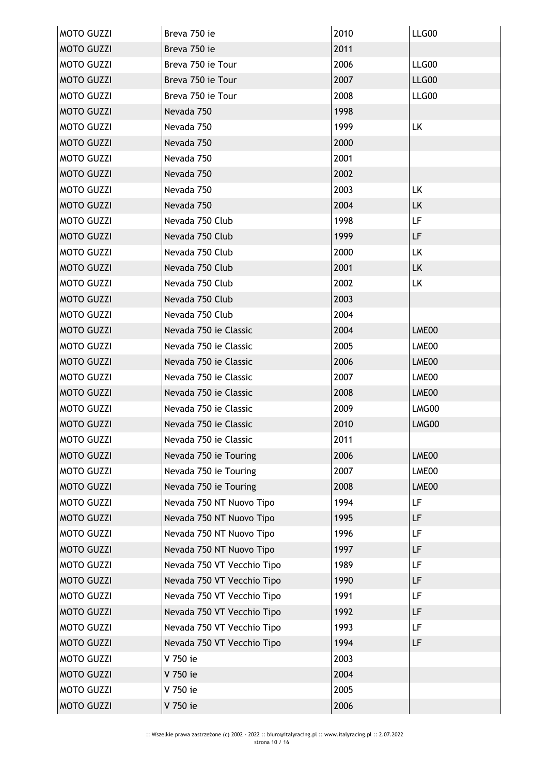| <b>MOTO GUZZI</b> | Breva 750 ie               | 2010 | LLG00     |
|-------------------|----------------------------|------|-----------|
| <b>MOTO GUZZI</b> | Breva 750 ie               | 2011 |           |
| <b>MOTO GUZZI</b> | Breva 750 ie Tour          | 2006 | LLG00     |
| <b>MOTO GUZZI</b> | Breva 750 ie Tour          | 2007 | LLG00     |
| <b>MOTO GUZZI</b> | Breva 750 ie Tour          | 2008 | LLG00     |
| <b>MOTO GUZZI</b> | Nevada 750                 | 1998 |           |
| <b>MOTO GUZZI</b> | Nevada 750                 | 1999 | <b>LK</b> |
| <b>MOTO GUZZI</b> | Nevada 750                 | 2000 |           |
| <b>MOTO GUZZI</b> | Nevada 750                 | 2001 |           |
| <b>MOTO GUZZI</b> | Nevada 750                 | 2002 |           |
| <b>MOTO GUZZI</b> | Nevada 750                 | 2003 | <b>LK</b> |
| <b>MOTO GUZZI</b> | Nevada 750                 | 2004 | <b>LK</b> |
| <b>MOTO GUZZI</b> | Nevada 750 Club            | 1998 | LF        |
| <b>MOTO GUZZI</b> | Nevada 750 Club            | 1999 | LF        |
| <b>MOTO GUZZI</b> | Nevada 750 Club            | 2000 | LK        |
| <b>MOTO GUZZI</b> | Nevada 750 Club            | 2001 | LK        |
| <b>MOTO GUZZI</b> | Nevada 750 Club            | 2002 | <b>LK</b> |
| <b>MOTO GUZZI</b> | Nevada 750 Club            | 2003 |           |
| <b>MOTO GUZZI</b> | Nevada 750 Club            | 2004 |           |
| <b>MOTO GUZZI</b> | Nevada 750 ie Classic      | 2004 | LME00     |
| <b>MOTO GUZZI</b> | Nevada 750 ie Classic      | 2005 | LME00     |
| <b>MOTO GUZZI</b> | Nevada 750 ie Classic      | 2006 | LME00     |
| <b>MOTO GUZZI</b> | Nevada 750 je Classic      | 2007 | LME00     |
| <b>MOTO GUZZI</b> | Nevada 750 ie Classic      | 2008 | LME00     |
| <b>MOTO GUZZI</b> | Nevada 750 ie Classic      | 2009 | LMG00     |
| <b>MOTO GUZZI</b> | Nevada 750 ie Classic      | 2010 | LMG00     |
| <b>MOTO GUZZI</b> | Nevada 750 ie Classic      | 2011 |           |
| <b>MOTO GUZZI</b> | Nevada 750 ie Touring      | 2006 | LME00     |
| <b>MOTO GUZZI</b> | Nevada 750 ie Touring      | 2007 | LME00     |
| <b>MOTO GUZZI</b> | Nevada 750 ie Touring      | 2008 | LME00     |
| <b>MOTO GUZZI</b> | Nevada 750 NT Nuovo Tipo   | 1994 | <b>LF</b> |
| <b>MOTO GUZZI</b> | Nevada 750 NT Nuovo Tipo   | 1995 | LF        |
| <b>MOTO GUZZI</b> | Nevada 750 NT Nuovo Tipo   | 1996 | LF        |
| <b>MOTO GUZZI</b> | Nevada 750 NT Nuovo Tipo   | 1997 | LF        |
| <b>MOTO GUZZI</b> | Nevada 750 VT Vecchio Tipo | 1989 | LF        |
| <b>MOTO GUZZI</b> | Nevada 750 VT Vecchio Tipo | 1990 | LF        |
| <b>MOTO GUZZI</b> | Nevada 750 VT Vecchio Tipo | 1991 | LF        |
| <b>MOTO GUZZI</b> | Nevada 750 VT Vecchio Tipo | 1992 | LF        |
| <b>MOTO GUZZI</b> | Nevada 750 VT Vecchio Tipo | 1993 | LF        |
| <b>MOTO GUZZI</b> | Nevada 750 VT Vecchio Tipo | 1994 | LF        |
| <b>MOTO GUZZI</b> | V 750 ie                   | 2003 |           |
| <b>MOTO GUZZI</b> | V 750 ie                   | 2004 |           |
| <b>MOTO GUZZI</b> | V 750 ie                   | 2005 |           |
| <b>MOTO GUZZI</b> | V 750 ie                   | 2006 |           |
|                   |                            |      |           |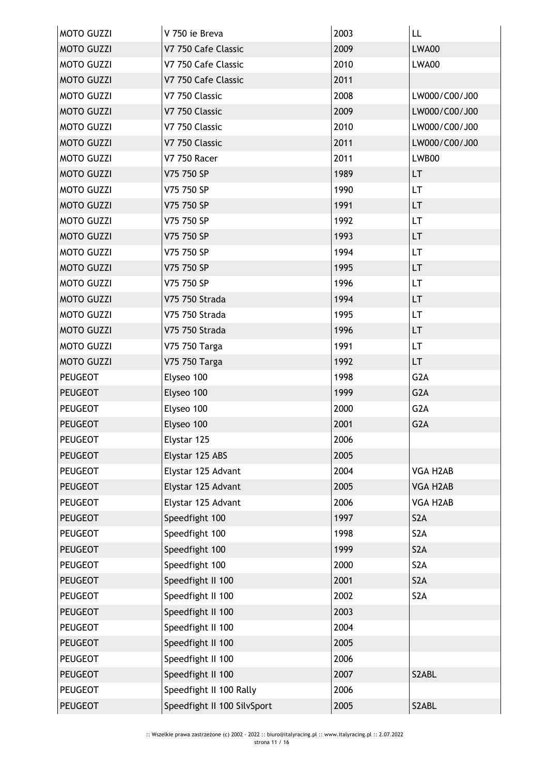| <b>MOTO GUZZI</b> | V 750 ie Breva              | 2003 | LL               |
|-------------------|-----------------------------|------|------------------|
| <b>MOTO GUZZI</b> | V7 750 Cafe Classic         | 2009 | <b>LWA00</b>     |
| <b>MOTO GUZZI</b> | V7 750 Cafe Classic         | 2010 | LWA00            |
| <b>MOTO GUZZI</b> | V7 750 Cafe Classic         | 2011 |                  |
| <b>MOTO GUZZI</b> | V7 750 Classic              | 2008 | LW000/C00/J00    |
| <b>MOTO GUZZI</b> | V7 750 Classic              | 2009 | LW000/C00/J00    |
| <b>MOTO GUZZI</b> | V7 750 Classic              | 2010 | LW000/C00/J00    |
| <b>MOTO GUZZI</b> | V7 750 Classic              | 2011 | LW000/C00/J00    |
| <b>MOTO GUZZI</b> | <b>V7 750 Racer</b>         | 2011 | LWB00            |
| <b>MOTO GUZZI</b> | V75 750 SP                  | 1989 | <b>LT</b>        |
| <b>MOTO GUZZI</b> | V75 750 SP                  | 1990 | LT.              |
| <b>MOTO GUZZI</b> | V75 750 SP                  | 1991 | LT               |
| <b>MOTO GUZZI</b> | V75 750 SP                  | 1992 | LT               |
| <b>MOTO GUZZI</b> | V75 750 SP                  | 1993 | LT.              |
| <b>MOTO GUZZI</b> | V75 750 SP                  | 1994 | LT               |
| <b>MOTO GUZZI</b> | V75 750 SP                  | 1995 | <b>LT</b>        |
| <b>MOTO GUZZI</b> | V75 750 SP                  | 1996 | LT               |
| <b>MOTO GUZZI</b> | V75 750 Strada              | 1994 | <b>LT</b>        |
| <b>MOTO GUZZI</b> | V75 750 Strada              | 1995 | LT               |
| <b>MOTO GUZZI</b> | V75 750 Strada              | 1996 | LT.              |
| <b>MOTO GUZZI</b> | V75 750 Targa               | 1991 | LT               |
| <b>MOTO GUZZI</b> | V75 750 Targa               | 1992 | LT               |
| PEUGEOT           | Elyseo 100                  | 1998 | G <sub>2</sub> A |
| <b>PEUGEOT</b>    | Elyseo 100                  | 1999 | G <sub>2</sub> A |
| <b>PEUGEOT</b>    | Elyseo 100                  | 2000 | G <sub>2</sub> A |
| <b>PEUGEOT</b>    | Elyseo 100                  | 2001 | G <sub>2</sub> A |
| <b>PEUGEOT</b>    | Elystar 125                 | 2006 |                  |
| <b>PEUGEOT</b>    | Elystar 125 ABS             | 2005 |                  |
| <b>PEUGEOT</b>    | Elystar 125 Advant          | 2004 | VGA H2AB         |
| <b>PEUGEOT</b>    | Elystar 125 Advant          | 2005 | VGA H2AB         |
| <b>PEUGEOT</b>    | Elystar 125 Advant          | 2006 | VGA H2AB         |
| <b>PEUGEOT</b>    | Speedfight 100              | 1997 | S <sub>2</sub> A |
| <b>PEUGEOT</b>    | Speedfight 100              | 1998 | S <sub>2</sub> A |
| <b>PEUGEOT</b>    | Speedfight 100              | 1999 | S2A              |
| <b>PEUGEOT</b>    | Speedfight 100              | 2000 | S <sub>2</sub> A |
| <b>PEUGEOT</b>    | Speedfight II 100           | 2001 | S <sub>2</sub> A |
| <b>PEUGEOT</b>    | Speedfight II 100           | 2002 | S <sub>2</sub> A |
| <b>PEUGEOT</b>    | Speedfight II 100           | 2003 |                  |
| <b>PEUGEOT</b>    | Speedfight II 100           | 2004 |                  |
| <b>PEUGEOT</b>    | Speedfight II 100           | 2005 |                  |
| <b>PEUGEOT</b>    | Speedfight II 100           | 2006 |                  |
| <b>PEUGEOT</b>    | Speedfight II 100           | 2007 | S2ABL            |
| <b>PEUGEOT</b>    | Speedfight II 100 Rally     | 2006 |                  |
| <b>PEUGEOT</b>    | Speedfight II 100 SilvSport | 2005 | S2ABL            |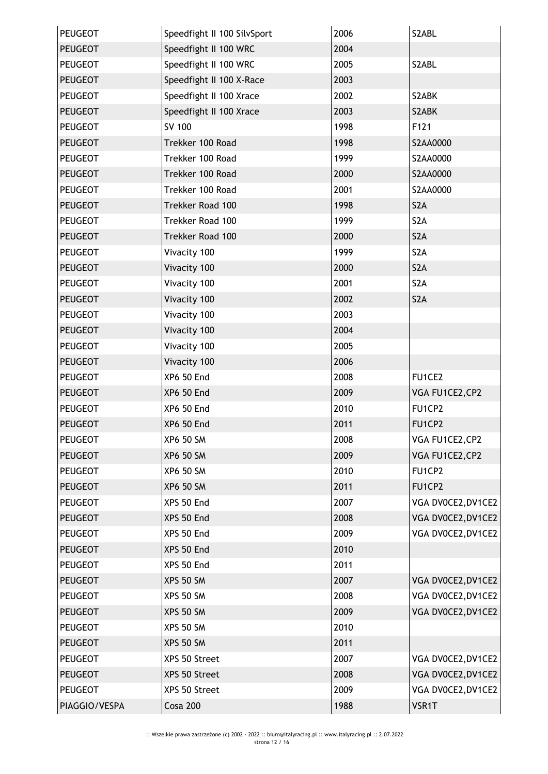| <b>PEUGEOT</b> | Speedfight II 100 SilvSport | 2006 | S2ABL              |
|----------------|-----------------------------|------|--------------------|
| <b>PEUGEOT</b> | Speedfight II 100 WRC       | 2004 |                    |
| <b>PEUGEOT</b> | Speedfight II 100 WRC       | 2005 | S2ABL              |
| <b>PEUGEOT</b> | Speedfight II 100 X-Race    | 2003 |                    |
| <b>PEUGEOT</b> | Speedfight II 100 Xrace     | 2002 | S2ABK              |
| <b>PEUGEOT</b> | Speedfight II 100 Xrace     | 2003 | S2ABK              |
| <b>PEUGEOT</b> | SV 100                      | 1998 | F121               |
| <b>PEUGEOT</b> | Trekker 100 Road            | 1998 | S2AA0000           |
| PEUGEOT        | Trekker 100 Road            | 1999 | S2AA0000           |
| <b>PEUGEOT</b> | Trekker 100 Road            | 2000 | S2AA0000           |
| <b>PEUGEOT</b> | Trekker 100 Road            | 2001 | S2AA0000           |
| <b>PEUGEOT</b> | Trekker Road 100            | 1998 | S <sub>2</sub> A   |
| <b>PEUGEOT</b> | Trekker Road 100            | 1999 | S <sub>2</sub> A   |
| <b>PEUGEOT</b> | Trekker Road 100            | 2000 | S <sub>2</sub> A   |
| <b>PEUGEOT</b> | Vivacity 100                | 1999 | S <sub>2</sub> A   |
| <b>PEUGEOT</b> | Vivacity 100                | 2000 | S <sub>2</sub> A   |
| <b>PEUGEOT</b> | Vivacity 100                | 2001 | S <sub>2</sub> A   |
| <b>PEUGEOT</b> | Vivacity 100                | 2002 | S <sub>2</sub> A   |
| <b>PEUGEOT</b> | Vivacity 100                | 2003 |                    |
| <b>PEUGEOT</b> | Vivacity 100                | 2004 |                    |
| PEUGEOT        | Vivacity 100                | 2005 |                    |
| <b>PEUGEOT</b> | Vivacity 100                | 2006 |                    |
| PEUGEOT        | <b>XP6 50 End</b>           | 2008 | FU1CE2             |
| <b>PEUGEOT</b> | <b>XP6 50 End</b>           | 2009 | VGA FU1CE2, CP2    |
| PEUGEOT        | <b>XP6 50 End</b>           | 2010 | FU1CP2             |
| <b>PEUGEOT</b> | <b>XP6 50 End</b>           | 2011 | FU1CP2             |
| <b>PEUGEOT</b> | XP6 50 SM                   | 2008 | VGA FU1CE2, CP2    |
| <b>PEUGEOT</b> | <b>XP6 50 SM</b>            | 2009 | VGA FU1CE2, CP2    |
| <b>PEUGEOT</b> | <b>XP6 50 SM</b>            | 2010 | FU1CP2             |
| <b>PEUGEOT</b> | <b>XP6 50 SM</b>            | 2011 | FU1CP2             |
| <b>PEUGEOT</b> | XPS 50 End                  | 2007 | VGA DV0CE2, DV1CE2 |
| <b>PEUGEOT</b> | XPS 50 End                  | 2008 | VGA DV0CE2, DV1CE2 |
| <b>PEUGEOT</b> | XPS 50 End                  | 2009 | VGA DV0CE2, DV1CE2 |
| <b>PEUGEOT</b> | XPS 50 End                  | 2010 |                    |
| <b>PEUGEOT</b> | XPS 50 End                  | 2011 |                    |
| <b>PEUGEOT</b> | <b>XPS 50 SM</b>            | 2007 | VGA DV0CE2, DV1CE2 |
| <b>PEUGEOT</b> | <b>XPS 50 SM</b>            | 2008 | VGA DV0CE2, DV1CE2 |
| <b>PEUGEOT</b> | <b>XPS 50 SM</b>            | 2009 | VGA DV0CE2, DV1CE2 |
| <b>PEUGEOT</b> | <b>XPS 50 SM</b>            | 2010 |                    |
| <b>PEUGEOT</b> | <b>XPS 50 SM</b>            | 2011 |                    |
| <b>PEUGEOT</b> | XPS 50 Street               | 2007 | VGA DV0CE2, DV1CE2 |
| <b>PEUGEOT</b> | XPS 50 Street               | 2008 | VGA DV0CE2, DV1CE2 |
| <b>PEUGEOT</b> | XPS 50 Street               | 2009 | VGA DV0CE2, DV1CE2 |
| PIAGGIO/VESPA  | Cosa 200                    | 1988 | VSR1T              |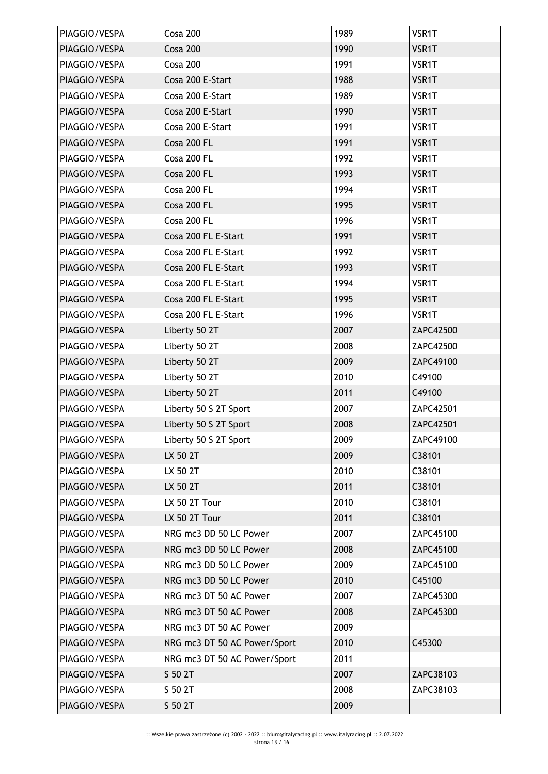| PIAGGIO/VESPA | Cosa 200                     | 1989 | VSR1T     |
|---------------|------------------------------|------|-----------|
| PIAGGIO/VESPA | Cosa 200                     | 1990 | VSR1T     |
| PIAGGIO/VESPA | Cosa 200                     | 1991 | VSR1T     |
| PIAGGIO/VESPA | Cosa 200 E-Start             | 1988 | VSR1T     |
| PIAGGIO/VESPA | Cosa 200 E-Start             | 1989 | VSR1T     |
| PIAGGIO/VESPA | Cosa 200 E-Start             | 1990 | VSR1T     |
| PIAGGIO/VESPA | Cosa 200 E-Start             | 1991 | VSR1T     |
| PIAGGIO/VESPA | Cosa 200 FL                  | 1991 | VSR1T     |
| PIAGGIO/VESPA | Cosa 200 FL                  | 1992 | VSR1T     |
| PIAGGIO/VESPA | Cosa 200 FL                  | 1993 | VSR1T     |
| PIAGGIO/VESPA | Cosa 200 FL                  | 1994 | VSR1T     |
| PIAGGIO/VESPA | Cosa 200 FL                  | 1995 | VSR1T     |
| PIAGGIO/VESPA | Cosa 200 FL                  | 1996 | VSR1T     |
| PIAGGIO/VESPA | Cosa 200 FL E-Start          | 1991 | VSR1T     |
| PIAGGIO/VESPA | Cosa 200 FL E-Start          | 1992 | VSR1T     |
| PIAGGIO/VESPA | Cosa 200 FL E-Start          | 1993 | VSR1T     |
| PIAGGIO/VESPA | Cosa 200 FL E-Start          | 1994 | VSR1T     |
| PIAGGIO/VESPA | Cosa 200 FL E-Start          | 1995 | VSR1T     |
| PIAGGIO/VESPA | Cosa 200 FL E-Start          | 1996 | VSR1T     |
| PIAGGIO/VESPA | Liberty 50 2T                | 2007 | ZAPC42500 |
| PIAGGIO/VESPA | Liberty 50 2T                | 2008 | ZAPC42500 |
| PIAGGIO/VESPA | Liberty 50 2T                | 2009 | ZAPC49100 |
| PIAGGIO/VESPA | Liberty 50 2T                | 2010 | C49100    |
| PIAGGIO/VESPA | Liberty 50 2T                | 2011 | C49100    |
| PIAGGIO/VESPA | Liberty 50 S 2T Sport        | 2007 | ZAPC42501 |
| PIAGGIO/VESPA | Liberty 50 S 2T Sport        | 2008 | ZAPC42501 |
| PIAGGIO/VESPA | Liberty 50 S 2T Sport        | 2009 | ZAPC49100 |
| PIAGGIO/VESPA | LX 50 2T                     | 2009 | C38101    |
| PIAGGIO/VESPA | LX 50 2T                     | 2010 | C38101    |
| PIAGGIO/VESPA | LX 50 2T                     | 2011 | C38101    |
| PIAGGIO/VESPA | LX 50 2T Tour                | 2010 | C38101    |
| PIAGGIO/VESPA | LX 50 2T Tour                | 2011 | C38101    |
| PIAGGIO/VESPA | NRG mc3 DD 50 LC Power       | 2007 | ZAPC45100 |
| PIAGGIO/VESPA | NRG mc3 DD 50 LC Power       | 2008 | ZAPC45100 |
| PIAGGIO/VESPA | NRG mc3 DD 50 LC Power       | 2009 | ZAPC45100 |
| PIAGGIO/VESPA | NRG mc3 DD 50 LC Power       | 2010 | C45100    |
| PIAGGIO/VESPA | NRG mc3 DT 50 AC Power       | 2007 | ZAPC45300 |
| PIAGGIO/VESPA | NRG mc3 DT 50 AC Power       | 2008 | ZAPC45300 |
| PIAGGIO/VESPA | NRG mc3 DT 50 AC Power       | 2009 |           |
| PIAGGIO/VESPA | NRG mc3 DT 50 AC Power/Sport | 2010 | C45300    |
| PIAGGIO/VESPA | NRG mc3 DT 50 AC Power/Sport | 2011 |           |
| PIAGGIO/VESPA | S 50 2T                      | 2007 | ZAPC38103 |
| PIAGGIO/VESPA | S 50 2T                      | 2008 | ZAPC38103 |
| PIAGGIO/VESPA | S 50 2T                      | 2009 |           |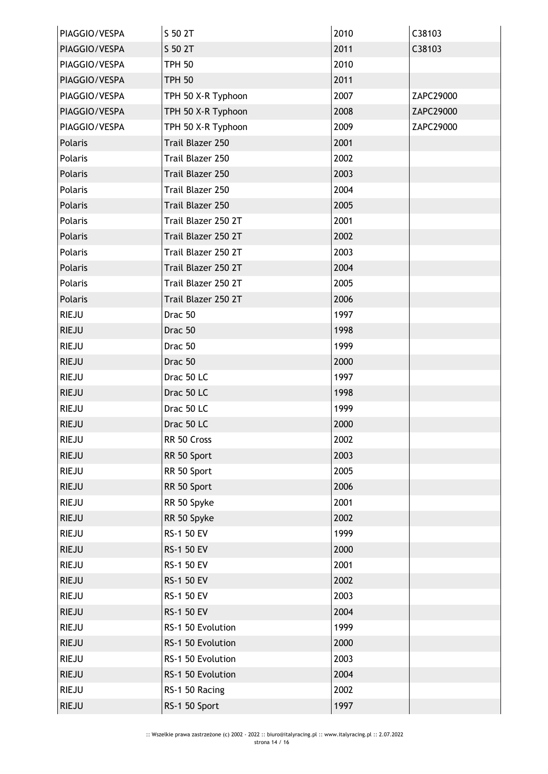| PIAGGIO/VESPA | S 50 2T             | 2010 | C38103    |
|---------------|---------------------|------|-----------|
| PIAGGIO/VESPA | S 50 2T             | 2011 | C38103    |
| PIAGGIO/VESPA | <b>TPH 50</b>       | 2010 |           |
| PIAGGIO/VESPA | <b>TPH 50</b>       | 2011 |           |
| PIAGGIO/VESPA | TPH 50 X-R Typhoon  | 2007 | ZAPC29000 |
| PIAGGIO/VESPA | TPH 50 X-R Typhoon  | 2008 | ZAPC29000 |
| PIAGGIO/VESPA | TPH 50 X-R Typhoon  | 2009 | ZAPC29000 |
| Polaris       | Trail Blazer 250    | 2001 |           |
| Polaris       | Trail Blazer 250    | 2002 |           |
| Polaris       | Trail Blazer 250    | 2003 |           |
| Polaris       | Trail Blazer 250    | 2004 |           |
| Polaris       | Trail Blazer 250    | 2005 |           |
| Polaris       | Trail Blazer 250 2T | 2001 |           |
| Polaris       | Trail Blazer 250 2T | 2002 |           |
| Polaris       | Trail Blazer 250 2T | 2003 |           |
| Polaris       | Trail Blazer 250 2T | 2004 |           |
| Polaris       | Trail Blazer 250 2T | 2005 |           |
| Polaris       | Trail Blazer 250 2T | 2006 |           |
| <b>RIEJU</b>  | Drac 50             | 1997 |           |
| <b>RIEJU</b>  | Drac 50             | 1998 |           |
| <b>RIEJU</b>  | Drac 50             | 1999 |           |
| <b>RIEJU</b>  | Drac 50             | 2000 |           |
| <b>RIEJU</b>  | Drac 50 LC          | 1997 |           |
| <b>RIEJU</b>  | Drac 50 LC          | 1998 |           |
| <b>RIEJU</b>  | Drac 50 LC          | 1999 |           |
| <b>RIEJU</b>  | Drac 50 LC          | 2000 |           |
| <b>RIEJU</b>  | RR 50 Cross         | 2002 |           |
| <b>RIEJU</b>  | RR 50 Sport         | 2003 |           |
| <b>RIEJU</b>  | RR 50 Sport         | 2005 |           |
| <b>RIEJU</b>  | RR 50 Sport         | 2006 |           |
| <b>RIEJU</b>  | RR 50 Spyke         | 2001 |           |
| <b>RIEJU</b>  | RR 50 Spyke         | 2002 |           |
| <b>RIEJU</b>  | RS-1 50 EV          | 1999 |           |
| <b>RIEJU</b>  | <b>RS-1 50 EV</b>   | 2000 |           |
| <b>RIEJU</b>  | RS-1 50 EV          | 2001 |           |
| <b>RIEJU</b>  | RS-1 50 EV          | 2002 |           |
| <b>RIEJU</b>  | RS-1 50 EV          | 2003 |           |
| <b>RIEJU</b>  | RS-1 50 EV          | 2004 |           |
| <b>RIEJU</b>  | RS-1 50 Evolution   | 1999 |           |
| <b>RIEJU</b>  | RS-1 50 Evolution   | 2000 |           |
| <b>RIEJU</b>  | RS-1 50 Evolution   | 2003 |           |
| <b>RIEJU</b>  | RS-1 50 Evolution   | 2004 |           |
| <b>RIEJU</b>  | RS-1 50 Racing      | 2002 |           |
| <b>RIEJU</b>  | RS-1 50 Sport       | 1997 |           |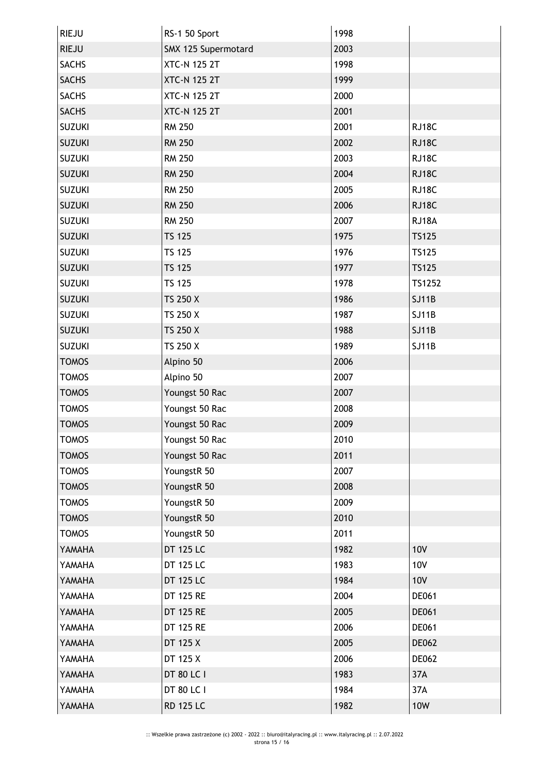| <b>RIEJU</b>  | RS-1 50 Sport       | 1998 |              |
|---------------|---------------------|------|--------------|
| <b>RIEJU</b>  | SMX 125 Supermotard | 2003 |              |
| <b>SACHS</b>  | <b>XTC-N 125 2T</b> | 1998 |              |
| <b>SACHS</b>  | <b>XTC-N 125 2T</b> | 1999 |              |
| <b>SACHS</b>  | <b>XTC-N 125 2T</b> | 2000 |              |
| <b>SACHS</b>  | <b>XTC-N 125 2T</b> | 2001 |              |
| <b>SUZUKI</b> | <b>RM 250</b>       | 2001 | RJ18C        |
| <b>SUZUKI</b> | <b>RM 250</b>       | 2002 | RJ18C        |
| <b>SUZUKI</b> | <b>RM 250</b>       | 2003 | RJ18C        |
| <b>SUZUKI</b> | <b>RM 250</b>       | 2004 | RJ18C        |
| <b>SUZUKI</b> | <b>RM 250</b>       | 2005 | RJ18C        |
| <b>SUZUKI</b> | <b>RM 250</b>       | 2006 | RJ18C        |
| <b>SUZUKI</b> | <b>RM 250</b>       | 2007 | RJ18A        |
| <b>SUZUKI</b> | <b>TS 125</b>       | 1975 | <b>TS125</b> |
| <b>SUZUKI</b> | <b>TS 125</b>       | 1976 | <b>TS125</b> |
| <b>SUZUKI</b> | <b>TS 125</b>       | 1977 | <b>TS125</b> |
| <b>SUZUKI</b> | <b>TS 125</b>       | 1978 | TS1252       |
| <b>SUZUKI</b> | TS 250 X            | 1986 | <b>SJ11B</b> |
| <b>SUZUKI</b> | TS 250 X            | 1987 | <b>SJ11B</b> |
| <b>SUZUKI</b> | TS 250 X            | 1988 | <b>SJ11B</b> |
| <b>SUZUKI</b> | TS 250 X            | 1989 | <b>SJ11B</b> |
| <b>TOMOS</b>  | Alpino 50           | 2006 |              |
| <b>TOMOS</b>  | Alpino 50           | 2007 |              |
| <b>TOMOS</b>  | Youngst 50 Rac      | 2007 |              |
| <b>TOMOS</b>  | Youngst 50 Rac      | 2008 |              |
| <b>TOMOS</b>  | Youngst 50 Rac      | 2009 |              |
| TOMOS         | Youngst 50 Rac      | 2010 |              |
| <b>TOMOS</b>  | Youngst 50 Rac      | 2011 |              |
| <b>TOMOS</b>  | YoungstR 50         | 2007 |              |
| <b>TOMOS</b>  | YoungstR 50         | 2008 |              |
| <b>TOMOS</b>  | YoungstR 50         | 2009 |              |
| <b>TOMOS</b>  | YoungstR 50         | 2010 |              |
| <b>TOMOS</b>  | YoungstR 50         | 2011 |              |
| YAMAHA        | <b>DT 125 LC</b>    | 1982 | <b>10V</b>   |
| YAMAHA        | DT 125 LC           | 1983 | <b>10V</b>   |
| YAMAHA        | DT 125 LC           | 1984 | <b>10V</b>   |
| YAMAHA        | <b>DT 125 RE</b>    | 2004 | DE061        |
| YAMAHA        | <b>DT 125 RE</b>    | 2005 | <b>DE061</b> |
| YAMAHA        | <b>DT 125 RE</b>    | 2006 | <b>DE061</b> |
| YAMAHA        | DT 125 X            | 2005 | <b>DE062</b> |
| YAMAHA        | DT 125 X            | 2006 | <b>DE062</b> |
| YAMAHA        | DT 80 LC I          | 1983 | 37A          |
| YAMAHA        | DT 80 LC I          | 1984 | 37A          |
| YAMAHA        | <b>RD 125 LC</b>    | 1982 | <b>10W</b>   |